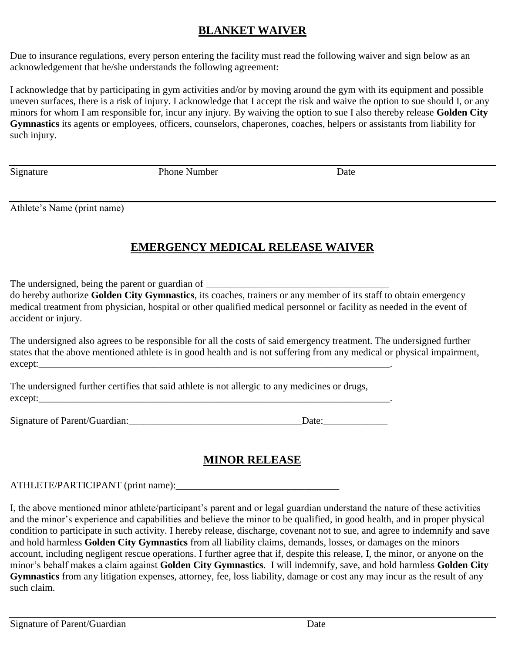## **BLANKET WAIVER**

Due to insurance regulations, every person entering the facility must read the following waiver and sign below as an acknowledgement that he/she understands the following agreement:

I acknowledge that by participating in gym activities and/or by moving around the gym with its equipment and possible uneven surfaces, there is a risk of injury. I acknowledge that I accept the risk and waive the option to sue should I, or any minors for whom I am responsible for, incur any injury. By waiving the option to sue I also thereby release **Golden City Gymnastics** its agents or employees, officers, counselors, chaperones, coaches, helpers or assistants from liability for such injury.

Signature **Phone Number** Phone Number Date

Athlete's Name (print name)

# **EMERGENCY MEDICAL RELEASE WAIVER**

The undersigned, being the parent or guardian of \_\_\_\_\_\_\_\_\_\_\_\_\_\_\_\_\_\_\_\_\_\_\_\_\_\_\_\_\_\_\_

do hereby authorize **Golden City Gymnastics**, its coaches, trainers or any member of its staff to obtain emergency medical treatment from physician, hospital or other qualified medical personnel or facility as needed in the event of accident or injury.

The undersigned also agrees to be responsible for all the costs of said emergency treatment. The undersigned further states that the above mentioned athlete is in good health and is not suffering from any medical or physical impairment,  $except:$ 

The undersigned further certifies that said athlete is not allergic to any medicines or drugs, except:

Signature of Parent/Guardian:\_\_\_\_\_\_\_\_\_\_\_\_\_\_\_\_\_\_\_\_\_\_\_\_\_\_\_\_\_\_\_\_\_\_\_Date:\_\_\_\_\_\_\_\_\_\_\_\_\_

# **MINOR RELEASE**

ATHLETE/PARTICIPANT (print name):\_\_\_\_\_\_\_\_\_\_\_\_\_\_\_\_\_\_\_\_\_\_\_\_\_\_\_\_\_\_\_\_\_

I, the above mentioned minor athlete/participant's parent and or legal guardian understand the nature of these activities and the minor's experience and capabilities and believe the minor to be qualified, in good health, and in proper physical condition to participate in such activity. I hereby release, discharge, covenant not to sue, and agree to indemnify and save and hold harmless **Golden City Gymnastics** from all liability claims, demands, losses, or damages on the minors account, including negligent rescue operations. I further agree that if, despite this release, I, the minor, or anyone on the minor's behalf makes a claim against **Golden City Gymnastics**. I will indemnify, save, and hold harmless **Golden City Gymnastics** from any litigation expenses, attorney, fee, loss liability, damage or cost any may incur as the result of any such claim.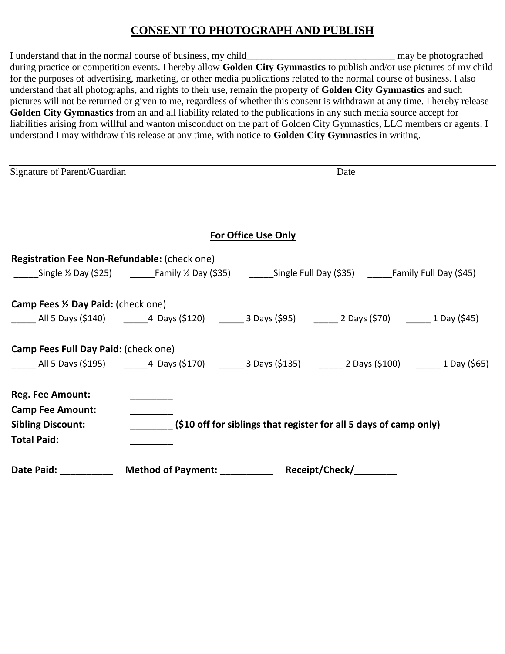## **CONSENT TO PHOTOGRAPH AND PUBLISH**

I understand that in the normal course of business, my child\_\_\_\_\_\_\_\_\_\_\_\_\_\_\_\_\_\_\_\_\_\_\_\_\_\_\_\_\_\_ may be photographed during practice or competition events. I hereby allow **Golden City Gymnastics** to publish and/or use pictures of my child for the purposes of advertising, marketing, or other media publications related to the normal course of business. I also understand that all photographs, and rights to their use, remain the property of **Golden City Gymnastics** and such pictures will not be returned or given to me, regardless of whether this consent is withdrawn at any time. I hereby release **Golden City Gymnastics** from an and all liability related to the publications in any such media source accept for liabilities arising from willful and wanton misconduct on the part of Golden City Gymnastics, LLC members or agents. I understand I may withdraw this release at any time, with notice to **Golden City Gymnastics** in writing.

| Signature of Parent/Guardian                       | Date                                                                                                                       |
|----------------------------------------------------|----------------------------------------------------------------------------------------------------------------------------|
|                                                    |                                                                                                                            |
|                                                    | <b>For Office Use Only</b>                                                                                                 |
| Registration Fee Non-Refundable: (check one)       | _____Single 1/2 Day (\$25) __________Family 1/2 Day (\$35) __________Single Full Day (\$35) ________Family Full Day (\$45) |
| Camp Fees 1/2 Day Paid: (check one)                |                                                                                                                            |
|                                                    | _____ All 5 Days (\$140)   ______4 Days (\$120)   ______ 3 Days (\$95)   ______ 2 Days (\$70)   ______ 1 Day (\$45)        |
| Camp Fees Full Day Paid: (check one)               | ______ All 5 Days (\$195)   ______4 Days (\$170)   ______ 3 Days (\$135)   ______ 2 Days (\$100)   ______ 1 Day (\$65)     |
| <b>Reg. Fee Amount:</b><br><b>Camp Fee Amount:</b> |                                                                                                                            |
| <b>Sibling Discount:</b><br><b>Total Paid:</b>     | (\$10 off for siblings that register for all 5 days of camp only)                                                          |
| Date Paid:                                         | Method of Payment: __________<br>Receipt/Check/                                                                            |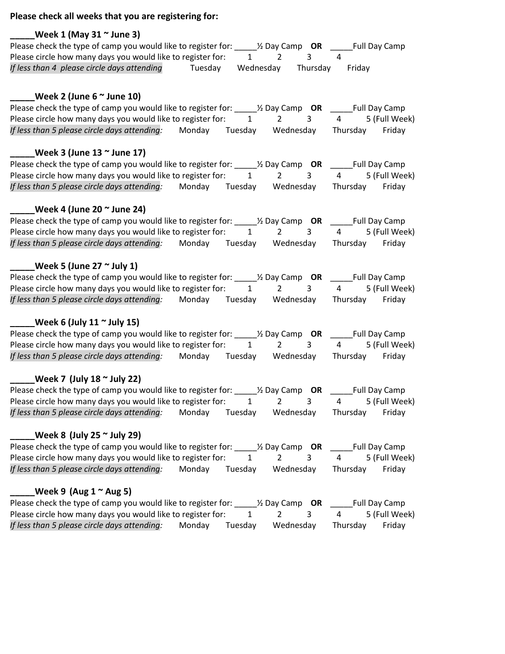#### **Please check all weeks that you are registering for:**

#### **\_\_\_\_\_Week 1 (May 31 ~ June 3)**

Please check the type of camp you would like to register for: \_\_\_\_\_½ Day Camp **OR** \_\_\_\_\_Full Day Camp Please circle how many days you would like to register for:  $1$   $2$   $3$   $4$ *If less than 4 please circle days attending* Tuesday Wednesday Thursday Friday

### **\_\_\_\_\_Week 2 (June 6 ~ June 10)**

| Please check the type of camp you would like to register for: |        |         | $\frac{1}{2}$ Day Camp <b>OR</b> |          | Full Day Camp |
|---------------------------------------------------------------|--------|---------|----------------------------------|----------|---------------|
| Please circle how many days you would like to register for:   |        |         |                                  |          | 5 (Full Week) |
| If less than 5 please circle days attending:                  | Mondav | Tuesdav | Wednesdav                        | Thursdav | Fridav        |

#### **\_\_\_\_\_Week 3 (June 13 ~ June 17)**

| Please check the type of camp you would like to register for: |        |         | $\frac{1}{2}$ Day Camp <b>OR</b> |          | <b>Full Day Camp</b> |
|---------------------------------------------------------------|--------|---------|----------------------------------|----------|----------------------|
| Please circle how many days you would like to register for:   |        |         |                                  |          | 5 (Full Week)        |
| If less than 5 please circle days attending:                  | Mondav | Tuesday | Wednesday                        | Thursdav | Fridav               |

#### **\_\_\_\_\_Week 4 (June 20 ~ June 24)**

| Please check the type of camp you would like to register for: |        |         | $\frac{1}{2}$ Day Camp <b>OR</b> |          | Full Day Camp |
|---------------------------------------------------------------|--------|---------|----------------------------------|----------|---------------|
| Please circle how many days you would like to register for:   |        |         |                                  |          | 5 (Full Week) |
| If less than 5 please circle days attending:                  | Monday | Tuesdav | Wednesday                        | Thursdav | Fridav        |

#### **\_\_\_\_\_Week 5 (June 27 ~ July 1)**

| Please check the type of camp you would like to register for: |        |         | $\frac{1}{2}$ Day Camp OR |          | Full Day Camp |
|---------------------------------------------------------------|--------|---------|---------------------------|----------|---------------|
| Please circle how many days you would like to register for:   |        |         |                           |          | 5 (Full Week) |
| If less than 5 please circle days attending:                  | Mondav | Tuesdav | Wednesday                 | Thursdav | Fridav        |

#### **\_\_\_\_\_Week 6 (July 11 ~ July 15)**

| Please check the type of camp you would like to register for: |        |         | $\frac{1}{2}$ Day Camp <b>OR</b> |          | Full Day Camp |
|---------------------------------------------------------------|--------|---------|----------------------------------|----------|---------------|
| Please circle how many days you would like to register for:   |        |         |                                  |          | 5 (Full Week) |
| If less than 5 please circle days attending:                  | Monday | Tuesdav | Wednesday                        | Thursdav | Fridav        |

#### **\_\_\_\_\_Week 7 (July 18 ~ July 22)**

| Please check the type of camp you would like to register for: |        |         | $\frac{1}{2}$ Day Camp <b>OR</b> |          | Full Day Camp |
|---------------------------------------------------------------|--------|---------|----------------------------------|----------|---------------|
| Please circle how many days you would like to register for:   |        |         |                                  |          | 5 (Full Week) |
| If less than 5 please circle days attending:                  | Monday | Tuesdav | Wednesday                        | Thursdav | Fridav        |

### **\_\_\_\_\_Week 8 (July 25 ~ July 29)**

| Please check the type of camp you would like to register for: |        |         | $\frac{1}{2}$ Day Camp <b>OR</b> |          | Full Day Camp |
|---------------------------------------------------------------|--------|---------|----------------------------------|----------|---------------|
| Please circle how many days you would like to register for:   |        |         |                                  |          | 5 (Full Week) |
| If less than 5 please circle days attending:                  | Mondav | Tuesdav | Wednesday                        | Thursdav | Fridav        |

#### **\_\_\_\_\_Week 9 (Aug 1 ~ Aug 5)**

| Please check the type of camp you would like to register for: |        |         | $\frac{1}{2}$ Day Camp <b>OR</b> |          | <b>Full Day Camp</b> |
|---------------------------------------------------------------|--------|---------|----------------------------------|----------|----------------------|
| Please circle how many days you would like to register for:   |        |         |                                  |          | 5 (Full Week)        |
| If less than 5 please circle days attending:                  | Monday | Tuesdav | Wednesday                        | Thursdav | Fridav               |